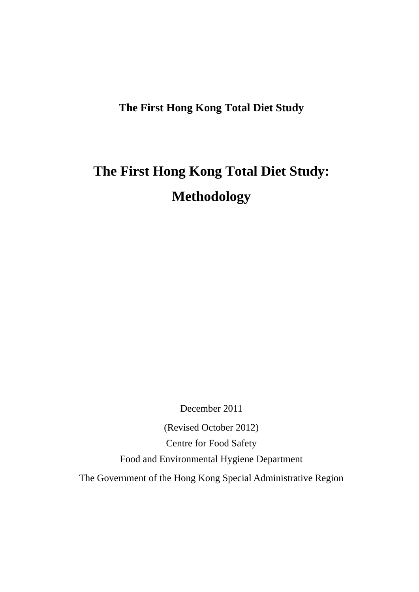### **The First Hong Kong Total Diet Study**

# **The First Hong Kong Total Diet Study: Methodology**

December 2011

(Revised October 2012) Centre for Food Safety Food and Environmental Hygiene Department The Government of the Hong Kong Special Administrative Region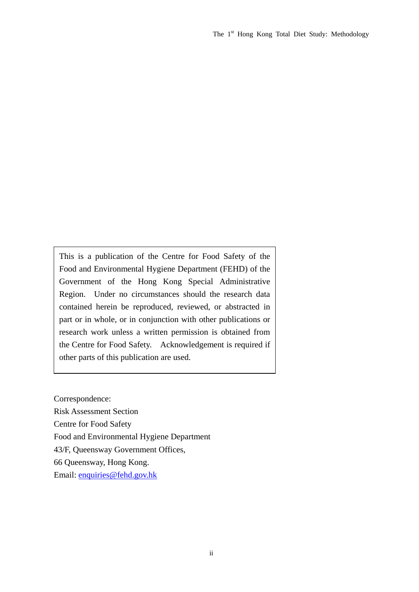This is a publication of the Centre for Food Safety of the Food and Environmental Hygiene Department (FEHD) of the Government of the Hong Kong Special Administrative Region. Under no circumstances should the research data contained herein be reproduced, reviewed, or abstracted in part or in whole, or in conjunction with other publications or research work unless a written permission is obtained from the Centre for Food Safety. Acknowledgement is required if other parts of this publication are used.

Correspondence:

Risk Assessment Section

Centre for Food Safety

Food and Environmental Hygiene Department

43/F, Queensway Government Offices,

66 Queensway, Hong Kong.

Email: [enquiries@fehd.gov.hk](mailto:enquiries@fehd.gov.hk)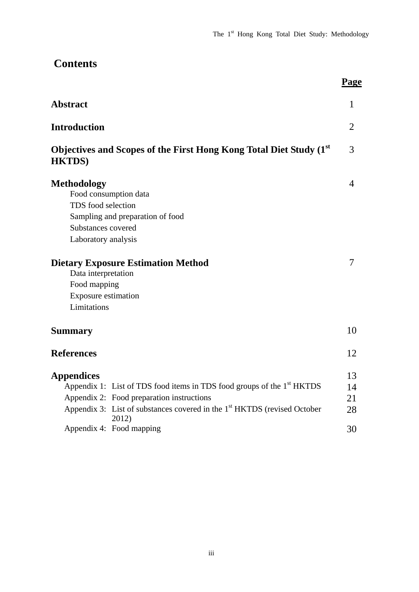| <b>Contents</b>                                                                                                                                                                                                                                                                   |                            |
|-----------------------------------------------------------------------------------------------------------------------------------------------------------------------------------------------------------------------------------------------------------------------------------|----------------------------|
|                                                                                                                                                                                                                                                                                   | Page                       |
| <b>Abstract</b>                                                                                                                                                                                                                                                                   | 1                          |
| <b>Introduction</b>                                                                                                                                                                                                                                                               | 2                          |
| Objectives and Scopes of the First Hong Kong Total Diet Study (1st)<br><b>HKTDS</b> )                                                                                                                                                                                             | 3                          |
| <b>Methodology</b><br>Food consumption data<br>TDS food selection<br>Sampling and preparation of food<br>Substances covered<br>Laboratory analysis                                                                                                                                | $\overline{4}$             |
| <b>Dietary Exposure Estimation Method</b><br>Data interpretation<br>Food mapping<br><b>Exposure estimation</b><br>Limitations                                                                                                                                                     |                            |
| <b>Summary</b>                                                                                                                                                                                                                                                                    | 10                         |
| <b>References</b>                                                                                                                                                                                                                                                                 | 12                         |
| <b>Appendices</b><br>Appendix 1: List of TDS food items in TDS food groups of the 1 <sup>st</sup> HKTDS<br>Appendix 2: Food preparation instructions<br>Appendix 3: List of substances covered in the 1 <sup>st</sup> HKTDS (revised October<br>2012)<br>Appendix 4: Food mapping | 13<br>14<br>21<br>28<br>30 |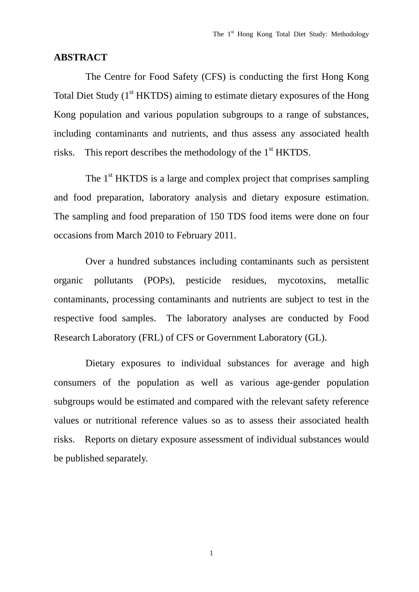#### **ABSTRACT**

 The Centre for Food Safety (CFS) is conducting the first Hong Kong Total Diet Study (1<sup>st</sup> HKTDS) aiming to estimate dietary exposures of the Hong Kong population and various population subgroups to a range of substances, including contaminants and nutrients, and thus assess any associated health risks. This report describes the methodology of the  $1<sup>st</sup>$  HKTDS.

The 1<sup>st</sup> HKTDS is a large and complex project that comprises sampling and food preparation, laboratory analysis and dietary exposure estimation. The sampling and food preparation of 150 TDS food items were done on four occasions from March 2010 to February 2011.

 Over a hundred substances including contaminants such as persistent organic pollutants (POPs), pesticide residues, mycotoxins, metallic contaminants, processing contaminants and nutrients are subject to test in the respective food samples. The laboratory analyses are conducted by Food Research Laboratory (FRL) of CFS or Government Laboratory (GL).

 Dietary exposures to individual substances for average and high consumers of the population as well as various age-gender population subgroups would be estimated and compared with the relevant safety reference values or nutritional reference values so as to assess their associated health risks. Reports on dietary exposure assessment of individual substances would be published separately.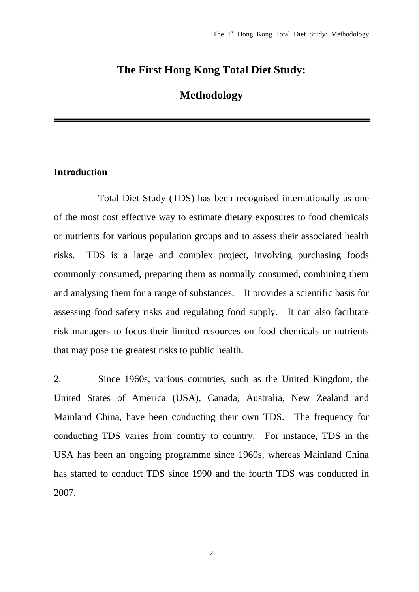### **The First Hong Kong Total Diet Study:**

### **Methodology**

#### **Introduction**

 Total Diet Study (TDS) has been recognised internationally as one of the most cost effective way to estimate dietary exposures to food chemicals or nutrients for various population groups and to assess their associated health risks. TDS is a large and complex project, involving purchasing foods commonly consumed, preparing them as normally consumed, combining them and analysing them for a range of substances. It provides a scientific basis for assessing food safety risks and regulating food supply. It can also facilitate risk managers to focus their limited resources on food chemicals or nutrients that may pose the greatest risks to public health.

2. Since 1960s, various countries, such as the United Kingdom, the United States of America (USA), Canada, Australia, New Zealand and Mainland China, have been conducting their own TDS. The frequency for conducting TDS varies from country to country. For instance, TDS in the USA has been an ongoing programme since 1960s, whereas Mainland China has started to conduct TDS since 1990 and the fourth TDS was conducted in 2007.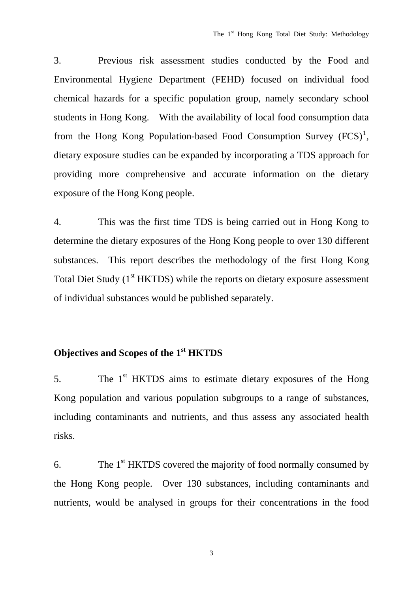3. Previous risk assessment studies conducted by the Food and Environmental Hygiene Department (FEHD) focused on individual food chemical hazards for a specific population group, namely secondary school students in Hong Kong. With the availability of local food consumption data from the Hong Kong Population-based Food Consumption Survey  $(FCS)^1$  $(FCS)^1$ , dietary exposure studies can be expanded by incorporating a TDS approach for providing more comprehensive and accurate information on the dietary exposure of the Hong Kong people.

4. This was the first time TDS is being carried out in Hong Kong to determine the dietary exposures of the Hong Kong people to over 130 different substances. This report describes the methodology of the first Hong Kong Total Diet Study  $(1<sup>st</sup> HKTDS)$  while the reports on dietary exposure assessment of individual substances would be published separately.

## **Objectives and Scopes of the 1st HKTDS**

5. The 1<sup>st</sup> HKTDS aims to estimate dietary exposures of the Hong Kong population and various population subgroups to a range of substances, including contaminants and nutrients, and thus assess any associated health risks.

6. The  $1<sup>st</sup>$  HKTDS covered the majority of food normally consumed by the Hong Kong people. Over 130 substances, including contaminants and nutrients, would be analysed in groups for their concentrations in the food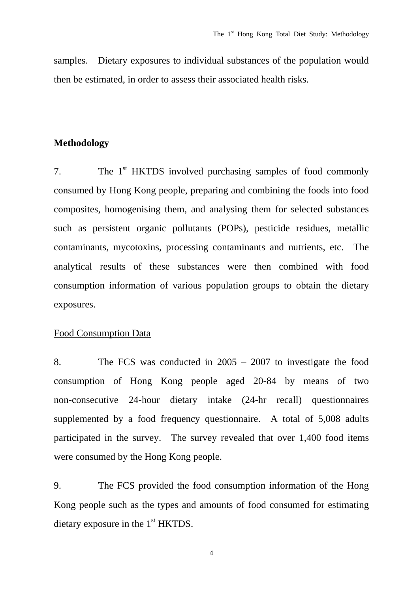samples. Dietary exposures to individual substances of the population would then be estimated, in order to assess their associated health risks.

#### **Methodology**

7. The 1<sup>st</sup> HKTDS involved purchasing samples of food commonly consumed by Hong Kong people, preparing and combining the foods into food composites, homogenising them, and analysing them for selected substances such as persistent organic pollutants (POPs), pesticide residues, metallic contaminants, mycotoxins, processing contaminants and nutrients, etc. The analytical results of these substances were then combined with food consumption information of various population groups to obtain the dietary exposures.

#### Food Consumption Data

8. The FCS was conducted in 2005 – 2007 to investigate the food consumption of Hong Kong people aged 20-84 by means of two non-consecutive 24-hour dietary intake (24-hr recall) questionnaires supplemented by a food frequency questionnaire. A total of 5,008 adults participated in the survey. The survey revealed that over 1,400 food items were consumed by the Hong Kong people.

9. The FCS provided the food consumption information of the Hong Kong people such as the types and amounts of food consumed for estimating dietary exposure in the 1<sup>st</sup> HKTDS.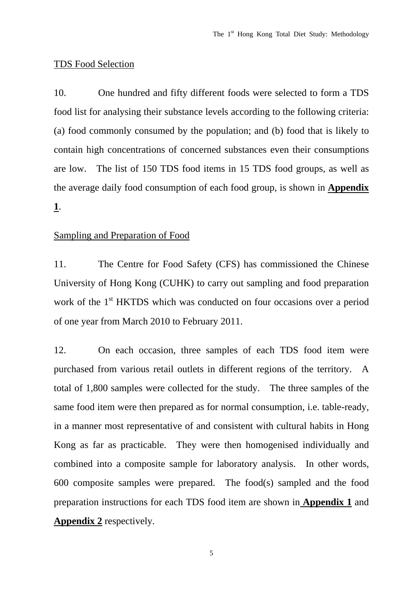#### TDS Food Selection

10. One hundred and fifty different foods were selected to form a TDS food list for analysing their substance levels according to the following criteria: (a) food commonly consumed by the population; and (b) food that is likely to contain high concentrations of concerned substances even their consumptions are low. The list of 150 TDS food items in 15 TDS food groups, as well as the average daily food consumption of each food group, is shown in **Appendix 1**.

### Sampling and Preparation of Food

11. The Centre for Food Safety (CFS) has commissioned the Chinese University of Hong Kong (CUHK) to carry out sampling and food preparation work of the 1<sup>st</sup> HKTDS which was conducted on four occasions over a period of one year from March 2010 to February 2011.

12. On each occasion, three samples of each TDS food item were purchased from various retail outlets in different regions of the territory. A total of 1,800 samples were collected for the study. The three samples of the same food item were then prepared as for normal consumption, i.e. table-ready, in a manner most representative of and consistent with cultural habits in Hong Kong as far as practicable. They were then homogenised individually and combined into a composite sample for laboratory analysis. In other words, 600 composite samples were prepared. The food(s) sampled and the food preparation instructions for each TDS food item are shown in **Appendix 1** and **Appendix 2** respectively.

 $\sim$  5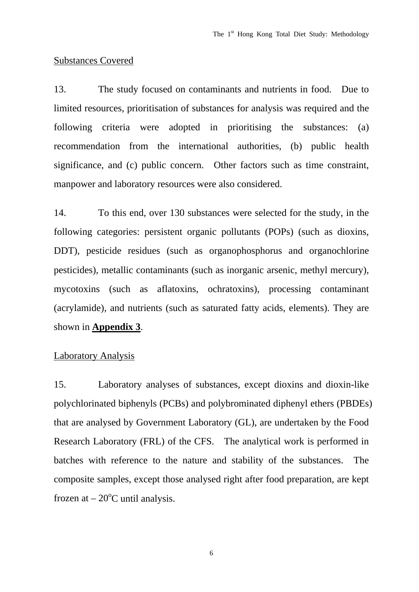#### Substances Covered

13. The study focused on contaminants and nutrients in food. Due to limited resources, prioritisation of substances for analysis was required and the following criteria were adopted in prioritising the substances: (a) recommendation from the international authorities, (b) public health significance, and (c) public concern. Other factors such as time constraint, manpower and laboratory resources were also considered.

14. To this end, over 130 substances were selected for the study, in the following categories: persistent organic pollutants (POPs) (such as dioxins, DDT), pesticide residues (such as organophosphorus and organochlorine pesticides), metallic contaminants (such as inorganic arsenic, methyl mercury), mycotoxins (such as aflatoxins, ochratoxins), processing contaminant (acrylamide), and nutrients (such as saturated fatty acids, elements). They are shown in **Appendix 3**.

#### Laboratory Analysis

15. Laboratory analyses of substances, except dioxins and dioxin-like polychlorinated biphenyls (PCBs) and polybrominated diphenyl ethers (PBDEs) that are analysed by Government Laboratory (GL), are undertaken by the Food Research Laboratory (FRL) of the CFS. The analytical work is performed in batches with reference to the nature and stability of the substances. The composite samples, except those analysed right after food preparation, are kept frozen at  $-20^{\circ}$ C until analysis.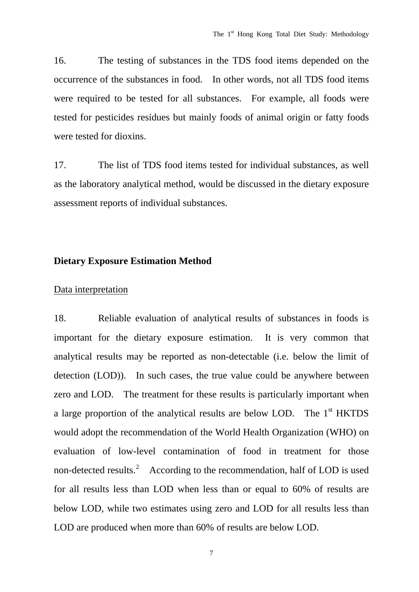16. The testing of substances in the TDS food items depended on the occurrence of the substances in food. In other words, not all TDS food items were required to be tested for all substances. For example, all foods were tested for pesticides residues but mainly foods of animal origin or fatty foods were tested for dioxins.

17. The list of TDS food items tested for individual substances, as well as the laboratory analytical method, would be discussed in the dietary exposure assessment reports of individual substances.

#### **Dietary Exposure Estimation Method**

#### Data interpretation

18. Reliable evaluation of analytical results of substances in foods is important for the dietary exposure estimation. It is very common that analytical results may be reported as non-detectable (i.e. below the limit of detection (LOD)). In such cases, the true value could be anywhere between zero and LOD. The treatment for these results is particularly important when a large proportion of the analytical results are below LOD. The 1<sup>st</sup> HKTDS would adopt the recommendation of the World Health Organization (WHO) on evaluation of low-level contamination of food in treatment for those non-detected results.<sup>[2](#page-14-1)</sup> According to the recommendation, half of LOD is used for all results less than LOD when less than or equal to 60% of results are below LOD, while two estimates using zero and LOD for all results less than LOD are produced when more than 60% of results are below LOD.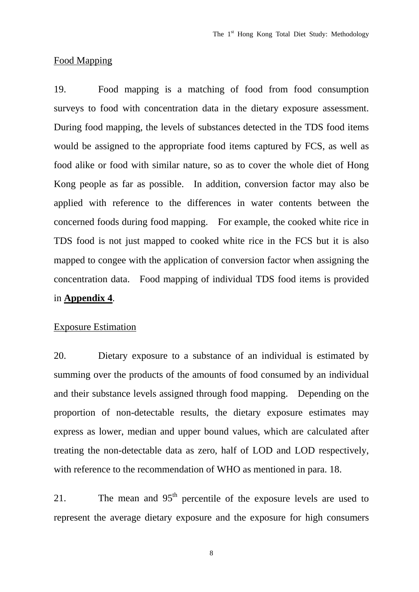#### Food Mapping

19. Food mapping is a matching of food from food consumption surveys to food with concentration data in the dietary exposure assessment. During food mapping, the levels of substances detected in the TDS food items would be assigned to the appropriate food items captured by FCS, as well as food alike or food with similar nature, so as to cover the whole diet of Hong Kong people as far as possible. In addition, conversion factor may also be applied with reference to the differences in water contents between the concerned foods during food mapping. For example, the cooked white rice in TDS food is not just mapped to cooked white rice in the FCS but it is also mapped to congee with the application of conversion factor when assigning the concentration data. Food mapping of individual TDS food items is provided in **Appendix 4**.

#### Exposure Estimation

20. Dietary exposure to a substance of an individual is estimated by summing over the products of the amounts of food consumed by an individual and their substance levels assigned through food mapping. Depending on the proportion of non-detectable results, the dietary exposure estimates may express as lower, median and upper bound values, which are calculated after treating the non-detectable data as zero, half of LOD and LOD respectively, with reference to the recommendation of WHO as mentioned in para. 18.

21. The mean and  $95<sup>th</sup>$  percentile of the exposure levels are used to represent the average dietary exposure and the exposure for high consumers

8 and 2012 and 3 and 3 and 3 and 3 and 3 and 3 and 3 and 3 and 3 and 3 and 3 and 3 and 3 and 3 and 3 and 3 and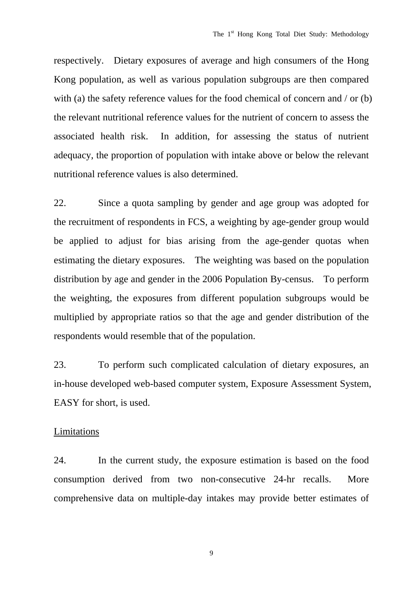respectively. Dietary exposures of average and high consumers of the Hong Kong population, as well as various population subgroups are then compared with (a) the safety reference values for the food chemical of concern and / or (b) the relevant nutritional reference values for the nutrient of concern to assess the associated health risk. In addition, for assessing the status of nutrient adequacy, the proportion of population with intake above or below the relevant nutritional reference values is also determined.

22. Since a quota sampling by gender and age group was adopted for the recruitment of respondents in FCS, a weighting by age-gender group would be applied to adjust for bias arising from the age-gender quotas when estimating the dietary exposures. The weighting was based on the population distribution by age and gender in the 2006 Population By-census. To perform the weighting, the exposures from different population subgroups would be multiplied by appropriate ratios so that the age and gender distribution of the respondents would resemble that of the population.

23. To perform such complicated calculation of dietary exposures, an in-house developed web-based computer system, Exposure Assessment System, EASY for short, is used.

#### Limitations

24. In the current study, the exposure estimation is based on the food consumption derived from two non-consecutive 24-hr recalls. More comprehensive data on multiple-day intakes may provide better estimates of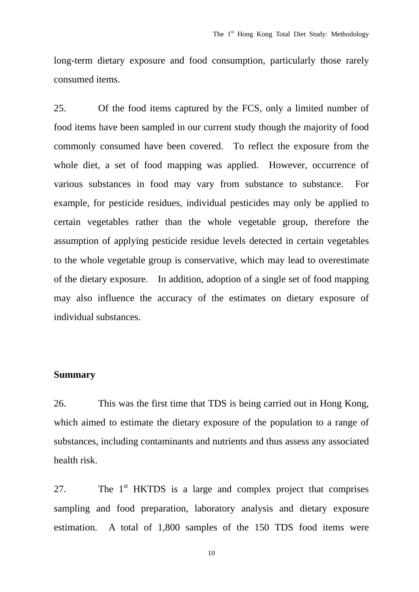long-term dietary exposure and food consumption, particularly those rarely consumed items.

25. Of the food items captured by the FCS, only a limited number of food items have been sampled in our current study though the majority of food commonly consumed have been covered. To reflect the exposure from the whole diet, a set of food mapping was applied. However, occurrence of various substances in food may vary from substance to substance. For example, for pesticide residues, individual pesticides may only be applied to certain vegetables rather than the whole vegetable group, therefore the assumption of applying pesticide residue levels detected in certain vegetables to the whole vegetable group is conservative, which may lead to overestimate of the dietary exposure. In addition, adoption of a single set of food mapping may also influence the accuracy of the estimates on dietary exposure of individual substances.

#### **Summary**

26. This was the first time that TDS is being carried out in Hong Kong, which aimed to estimate the dietary exposure of the population to a range of substances, including contaminants and nutrients and thus assess any associated health risk.

27. The  $1<sup>st</sup>$  HKTDS is a large and complex project that comprises sampling and food preparation, laboratory analysis and dietary exposure estimation. A total of 1,800 samples of the 150 TDS food items were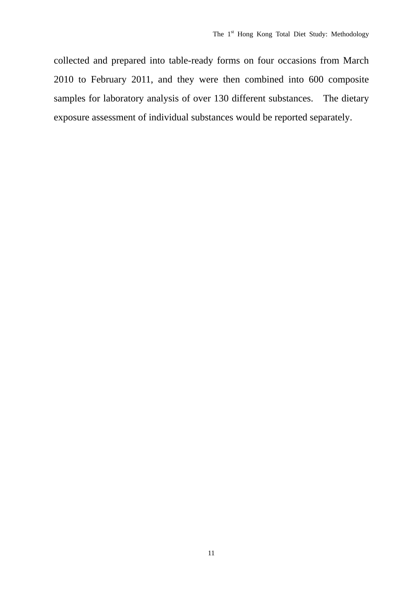collected and prepared into table-ready forms on four occasions from March 2010 to February 2011, and they were then combined into 600 composite samples for laboratory analysis of over 130 different substances. The dietary exposure assessment of individual substances would be reported separately.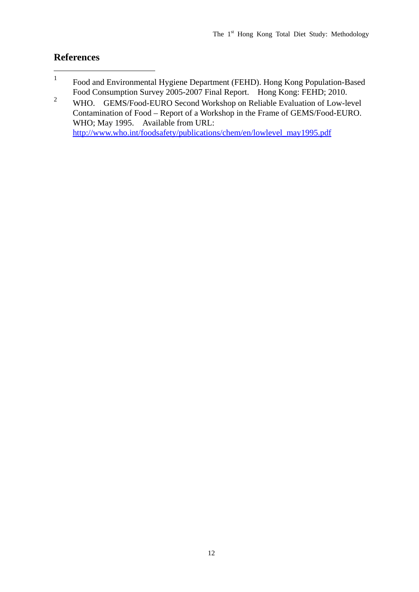#### **References**

- <span id="page-14-0"></span>1 Food and Environmental Hygiene Department (FEHD). Hong Kong Population-Based Food Consumption Survey 2005-2007 Final Report. Hong Kong: FEHD; 2010.
- <span id="page-14-1"></span>2 WHO. GEMS/Food-EURO Second Workshop on Reliable Evaluation of Low-level Contamination of Food – Report of a Workshop in the Frame of GEMS/Food-EURO. WHO; May 1995. Available from URL: [http://www.who.int/foodsafety/publications/chem/en/lowlevel\\_may1995.pdf](http://www.who.int/foodsafety/publications/chem/en/lowlevel_may1995.pdf)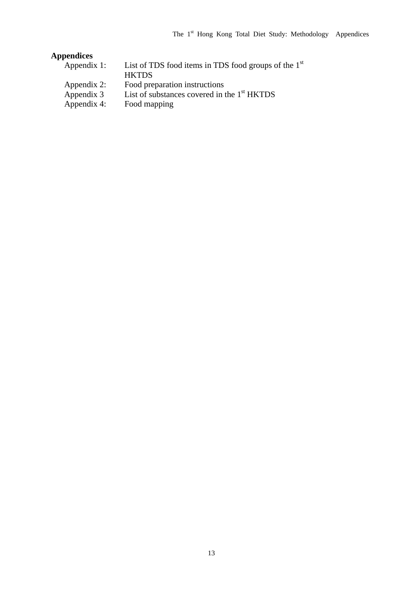### **Appendices**

| Appendix 1: | List of TDS food items in TDS food groups of the $1st$ |
|-------------|--------------------------------------------------------|
|             | <b>HKTDS</b>                                           |
| Appendix 2: | Food preparation instructions                          |
| Appendix 3  | List of substances covered in the $1st$ HKTDS          |
| Appendix 4: | Food mapping                                           |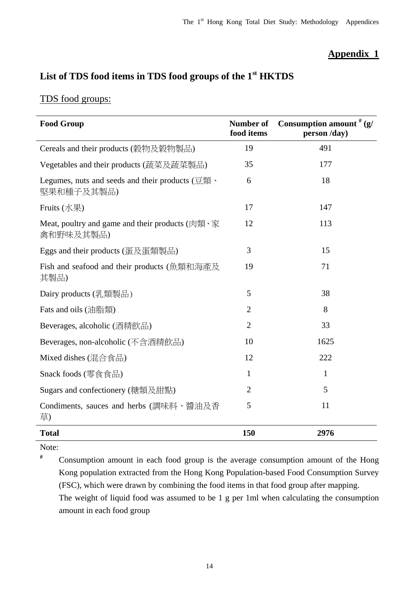### **Appendix 1**

### **List of TDS food items in TDS food groups of the 1st HKTDS**

### TDS food groups:

| <b>Food Group</b>                                                                                       | Number of<br>food items | Consumption amount $# (g)$<br>person /day) |
|---------------------------------------------------------------------------------------------------------|-------------------------|--------------------------------------------|
| Cereals and their products (穀物及穀物製品)                                                                    | 19                      | 491                                        |
| Vegetables and their products (蔬菜及蔬菜製品)                                                                 | 35                      | 177                                        |
| Legumes, nuts and seeds and their products $(\overline{\boxtimes} \overline{\text{H}})$ .<br>堅果和種子及其製品) | 6                       | 18                                         |
| Fruits (水果)                                                                                             | 17                      | 147                                        |
| Meat, poultry and game and their products (肉類、家<br>禽和野味及其製品)                                            | 12                      | 113                                        |
| Eggs and their products (蛋及蛋類製品)                                                                        | 3                       | 15                                         |
| Fish and seafood and their products (魚類和海產及<br>其製品)                                                     | 19                      | 71                                         |
| Dairy products (乳類製品)                                                                                   | 5                       | 38                                         |
| Fats and oils (油脂類)                                                                                     | $\overline{2}$          | 8                                          |
| Beverages, alcoholic (酒精飲品)                                                                             | $\overline{2}$          | 33                                         |
| Beverages, non-alcoholic (不含酒精飲品)                                                                       | 10                      | 1625                                       |
| Mixed dishes (混合食品)                                                                                     | 12                      | 222                                        |
| Snack foods (零食食品)                                                                                      | $\mathbf{1}$            | 1                                          |
| Sugars and confectionery (糖類及甜點)                                                                        | $\overline{2}$          | 5                                          |
| Condiments, sauces and herbs (調味料、醬油及香<br>草)                                                            | 5                       | 11                                         |
| <b>Total</b>                                                                                            | 150                     | 2976                                       |

Note:

**#** Consumption amount in each food group is the average consumption amount of the Hong Kong population extracted from the Hong Kong Population-based Food Consumption Survey (FSC), which were drawn by combining the food items in that food group after mapping. The weight of liquid food was assumed to be 1 g per 1ml when calculating the consumption amount in each food group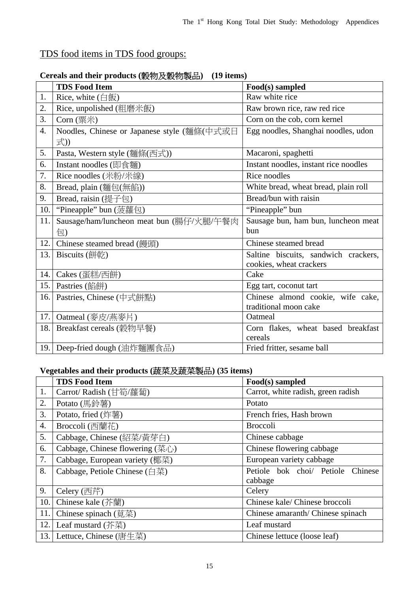### TDS food items in TDS food groups:

|     | <b>TDS Food Item</b>                        | Food(s) sampled                       |
|-----|---------------------------------------------|---------------------------------------|
| 1.  | Rice, white $(\hat{H}$ 飯)                   | Raw white rice                        |
| 2.  | Rice, unpolished (粗磨米飯)                     | Raw brown rice, raw red rice          |
| 3.  | $Corn$ (粟米)                                 | Corn on the cob, corn kernel          |
| 4.  | Noodles, Chinese or Japanese style (麵條(中式或日 | Egg noodles, Shanghai noodles, udon   |
|     | 式))                                         |                                       |
| 5.  | Pasta, Western style (麵條(西式))               | Macaroni, spaghetti                   |
| 6.  | Instant noodles (即食麵)                       | Instant noodles, instant rice noodles |
| 7.  | Rice noodles (米粉/米線)                        | Rice noodles                          |
| 8.  | Bread, plain (麵包(無餡))                       | White bread, wheat bread, plain roll  |
| 9.  | Bread, raisin (提子包)                         | Bread/bun with raisin                 |
| 10. | "Pineapple" bun (菠蘿包)                       | "Pineapple" bun                       |
| 11. | Sausage/ham/luncheon meat bun (腸仔/火腿/午餐肉    | Sausage bun, ham bun, luncheon meat   |
|     | 包)                                          | bun                                   |
| 12. | Chinese steamed bread (饅頭)                  | Chinese steamed bread                 |
| 13. | Biscuits (餅乾)                               | Saltine biscuits, sandwich crackers,  |
|     |                                             | cookies, wheat crackers               |
| 14. | Cakes (蛋糕/西餅)                               | Cake                                  |
| 15. | Pastries (餡餅)                               | Egg tart, coconut tart                |
| 16. | Pastries, Chinese (中式餅點)                    | Chinese almond cookie, wife cake,     |
|     |                                             | traditional moon cake                 |
| 17. | Oatmeal (麥皮/燕麥片)                            | Oatmeal                               |
| 18. | Breakfast cereals (穀物早餐)                    | Corn flakes, wheat based breakfast    |
|     |                                             | cereals                               |
| 19. | Deep-fried dough (油炸麵團食品)                   | Fried fritter, sesame ball            |

### **Cereals and their products (**穀物及穀物製品**) (19 items)**

### **Vegetables and their products (**蔬菜及蔬菜製品**) (35 items)**

|      | <b>TDS Food Item</b>                              | Food(s) sampled                    |
|------|---------------------------------------------------|------------------------------------|
| 1.   | Carrot/ Radish (甘筍/蘿蔔)                            | Carrot, white radish, green radish |
| 2.   | Potato (馬鈴薯)                                      | Potato                             |
| 3.   | Potato, fried (炸薯)                                | French fries, Hash brown           |
| 4.   | Broccoli (西蘭花)                                    | <b>Broccoli</b>                    |
| 5.   | Cabbage, Chinese (紹菜/黃芽白)                         | Chinese cabbage                    |
| 6.   | Cabbage, Chinese flowering $(\bar{\mathbb{R}}_1)$ | Chinese flowering cabbage          |
| 7.   | Cabbage, European variety (椰菜)                    | European variety cabbage           |
| 8.   | Cabbage, Petiole Chinese (白菜)                     | Petiole bok choi/ Petiole Chinese  |
|      |                                                   | cabbage                            |
| 9.   | Celery (西芹)                                       | Celery                             |
| 10.  | Chinese kale (芥蘭)                                 | Chinese kale/ Chinese broccoli     |
| 11.  | Chinese spinach (莧菜)                              | Chinese amaranth/Chinese spinach   |
| 12.  | Leaf mustard $($ 芥菜)                              | Leaf mustard                       |
| 13.1 | Lettuce, Chinese (唐生菜)                            | Chinese lettuce (loose leaf)       |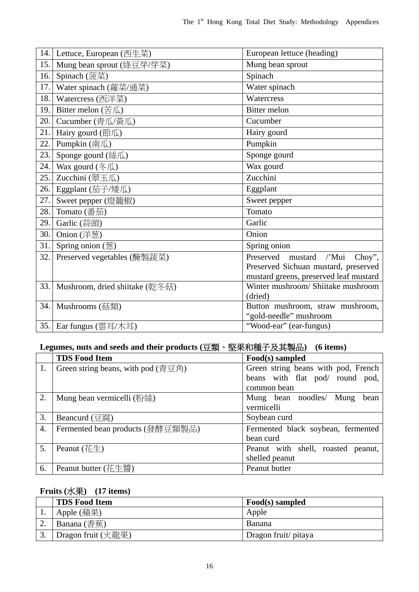| 14.  | Lettuce, European (西生菜)               | European lettuce (heading)                        |
|------|---------------------------------------|---------------------------------------------------|
| 15.  | Mung bean sprout (綠豆芽/芽菜)             | Mung bean sprout                                  |
| 16.  | Spinach (菠菜)                          | Spinach                                           |
| 17.  | Water spinach (蕹菜/通菜)                 | Water spinach                                     |
| 18.  | Watercress (西洋菜)                      | Watercress                                        |
| 19.  | Bitter melon $(\text{H}\,\mathbb{R})$ | <b>Bitter</b> melon                               |
| 20.  | Cucumber (青瓜/黃瓜)                      | Cucumber                                          |
| 21.  | Hairy gourd (節瓜)                      | Hairy gourd                                       |
| 22.  | Pumpkin (南瓜)                          | Pumpkin                                           |
| 23.  | Sponge gourd (絲瓜)                     | Sponge gourd                                      |
| 24.  | Wax gourd (冬瓜)                        | Wax gourd                                         |
| 25.  | Zucchini (翠玉瓜)                        | Zucchini                                          |
| 26.  | Eggplant (茄子/矮瓜)                      | Eggplant                                          |
| 27.  | Sweet pepper (燈籠椒)                    | Sweet pepper                                      |
| 28.  | Tomato (番茄)                           | Tomato                                            |
| 29.  | Garlic (蒜頭)                           | Garlic                                            |
| 30.  | Onion (洋葱)                            | Onion                                             |
| 31.  | Spring onion (葱)                      | Spring onion                                      |
| 32.  | Preserved vegetables (醃製蔬菜)           | Preserved<br>$\sqrt{\ }$ Mui<br>mustard<br>Choy", |
|      |                                       | Preserved Sichuan mustard, preserved              |
|      |                                       | mustard greens, preserved leaf mustard            |
| 33.  | Mushroom, dried shiitake (乾冬菇)        | Winter mushroom/ Shiitake mushroom                |
|      |                                       | (dried)                                           |
| 34.  | Mushrooms (菇類)                        | Button mushroom, straw mushroom,                  |
|      |                                       | "gold-needle" mushroom                            |
| 35.1 | Ear fungus (雲耳/木耳)                    | "Wood-ear" (ear-fungus)                           |

### Legumes, nuts and seeds and their products (豆類、堅果和種子及其製品) (6 items)

|    | <b>TDS Food Item</b>                                                                                             | Food(s) sampled                       |
|----|------------------------------------------------------------------------------------------------------------------|---------------------------------------|
| 1. | Green string beans, with pod $(\overline{\overline{f}} \ \overline{\boxtimes} \ \hat{f} \ \overline{\boxtimes})$ | Green string beans with pod, French   |
|    |                                                                                                                  | beans with flat pod/ round pod,       |
|    |                                                                                                                  | common bean                           |
| 2. | Mung bean vermicelli (粉絲)                                                                                        | Mung bean noodles/ Mung<br>bean       |
|    |                                                                                                                  | vermicelli                            |
| 3. | Beancurd $(\overline{\boxtimes}\overline{\boxtimes})$                                                            | Soybean curd                          |
| 4. | Fermented bean products (發酵豆類製品)                                                                                 | Fermented black soybean, fermented    |
|    |                                                                                                                  | bean curd                             |
| 5. | Peanut $(\ddot{\mathcal{A}} \underline{\dagger} \underline{\dagger})$                                            | Peanut with shell, roasted<br>peanut, |
|    |                                                                                                                  | shelled peanut                        |
| 6. | Peanut butter $(\H + \mathscr{L} \mathscr{L})$                                                                   | Peanut butter                         |

### **Fruits (**水果**) (17 items)**

|    | <b>TDS Food Item</b>                              | Food(s) sampled      |
|----|---------------------------------------------------|----------------------|
|    | Apple (蘋果)                                        | Apple                |
| ٠. | Banana $(\overline{\oplus}\overline{\textrm{g}})$ | <b>Banana</b>        |
|    | Dragon fruit (火龍果)                                | Dragon fruit/ pitaya |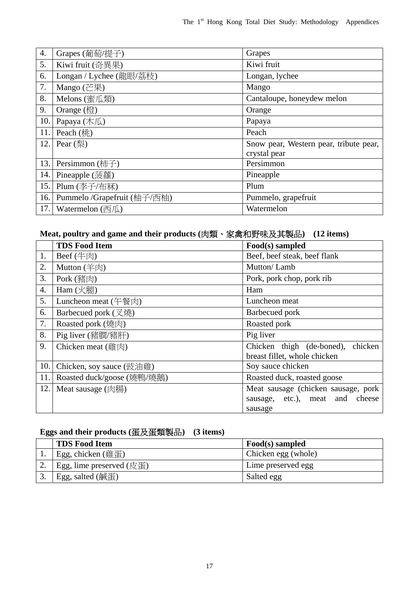| $\overline{4}$ . | Grapes (葡萄/提子)              | Grapes                                 |
|------------------|-----------------------------|----------------------------------------|
| 5.               | Kiwi fruit (奇異果)            | Kiwi fruit                             |
| 6.               | Longan / Lychee (龍眼/荔枝)     | Longan, lychee                         |
| 7.               | Mango (芒果)                  | Mango                                  |
| 8.               | Melons (蜜瓜類)                | Cantaloupe, honeydew melon             |
| 9.               | Orange $(\frac{12}{12})$    | Orange                                 |
| 10.              | Papaya (木瓜)                 | Papaya                                 |
| 11.              | Peach $(\frac{1}{2})$       | Peach                                  |
| 12.              | Pear $(\overline{24})$      | Snow pear, Western pear, tribute pear, |
|                  |                             | crystal pear                           |
| 13.              | Persimmon (柿子)              | Persimmon                              |
| 14.              | Pineapple (菠蘿)              | Pineapple                              |
| 15.              | Plum (李子/布冧)                | Plum                                   |
| 16.              | Pummelo /Grapefruit (柚子/西柚) | Pummelo, grapefruit                    |
| 17.              | Watermelon $(\overline{m})$ | Watermelon                             |

#### **Meat, poultry and game and their products (**肉類、家禽和野味及其製品**) (12 items)**

|     | <b>TDS Food Item</b>          | Food(s) sampled                                                                   |
|-----|-------------------------------|-----------------------------------------------------------------------------------|
| 1.  | $\text{Beef}(\#\text{N})$     | Beef, beef steak, beef flank                                                      |
| 2.  | Mutton $(\n\equiv \n\otimes)$ | Mutton/Lamb                                                                       |
| 3.  | Pork (豬肉)                     | Pork, pork chop, pork rib                                                         |
| 4.  | Ham $(\times$ 腿)              | Ham                                                                               |
| 5.  | Luncheon meat (午餐肉)           | Luncheon meat                                                                     |
| 6.  | Barbecued pork (又燒)           | Barbecued pork                                                                    |
| 7.  | Roasted pork (燒肉)             | Roasted pork                                                                      |
| 8.  | Pig liver (豬膶/豬肝)             | Pig liver                                                                         |
| 9.  | Chicken meat (雞肉)             | Chicken thigh (de-boned),<br>chicken<br>breast fillet, whole chicken              |
| 10. | Chicken, soy sauce (豉油雞)      | Soy sauce chicken                                                                 |
| 11. | Roasted duck/goose (燒鴨/燒鵝)    | Roasted duck, roasted goose                                                       |
| 12. | Meat sausage $(\&edge$ }}}    | Meat sausage (chicken sausage, pork<br>sausage, etc.), meat and cheese<br>sausage |

### **Eggs and their products (**蛋及蛋類製品**) (3 items)**

| <b>TDS Food Item</b>                         | Food(s) sampled     |
|----------------------------------------------|---------------------|
| Egg, chicken $(\frac{\text{Rf}}{\text{d}t})$ | Chicken egg (whole) |
| Egg, lime preserved $(\not\in \mathbb{E})$   | Lime preserved egg  |
| Egg, salted (鹹蛋)                             | Salted egg          |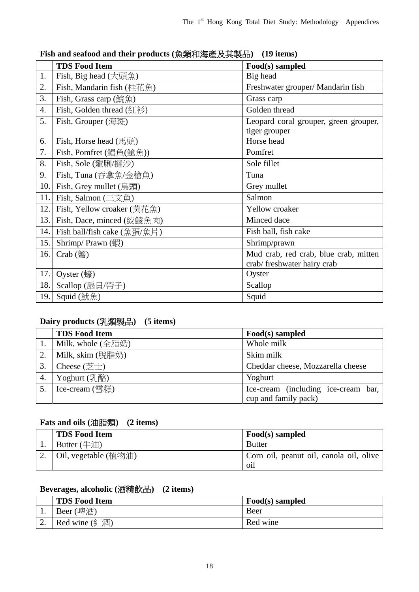|     | <b>TDS Food Item</b>        | Food(s) sampled                       |
|-----|-----------------------------|---------------------------------------|
| 1.  | Fish, Big head $(大頭$ 魚)     | Big head                              |
| 2.  | Fish, Mandarin fish (桂花魚)   | Freshwater grouper/ Mandarin fish     |
| 3.  | Fish, Grass carp (鯇魚)       | Grass carp                            |
| 4.  | Fish, Golden thread (紅衫)    | Golden thread                         |
| 5.  | Fish, Grouper (海斑)          | Leopard coral grouper, green grouper, |
|     |                             | tiger grouper                         |
| 6.  | Fish, Horse head (馬頭)       | Horse head                            |
| 7.  | Fish, Pomfret (鯧魚(艙魚))      | Pomfret                               |
| 8.  | Fish, Sole (龍脷/撻沙)          | Sole fillet                           |
| 9.  | Fish, Tuna (吞拿魚/金槍魚)        | Tuna                                  |
| 10. | Fish, Grey mullet (烏頭)      | Grey mullet                           |
| 11. | Fish, Salmon (三文魚)          | Salmon                                |
| 12. | Fish, Yellow croaker (黃花魚)  | Yellow croaker                        |
| 13. | Fish, Dace, minced (絞鯪魚肉)   | Minced dace                           |
| 14. | Fish ball/fish cake (魚蛋/魚片) | Fish ball, fish cake                  |
| 15. | Shrimp/ Prawn (蝦)           | Shrimp/prawn                          |
| 16. | $Crab$ (蟹)                  | Mud crab, red crab, blue crab, mitten |
|     |                             | crab/freshwater hairy crab            |
| 17. | Oyster $(\frac{1}{3})$      | Oyster                                |
| 18. | Scallop (扇貝/帶子)             | Scallop                               |
| 19. | Squid (魷魚)                  | Squid                                 |

#### **Fish and seafood and their products (**魚類和海產及其製品**) (19 items)**

### **Dairy products (**乳類製品**) (5 items)**

|    | <b>TDS Food Item</b>             | Food(s) sampled                                               |
|----|----------------------------------|---------------------------------------------------------------|
|    | Milk, whole (全脂奶)                | Whole milk                                                    |
| 2. | Milk, skim (脫脂奶)                 | Skim milk                                                     |
| 3. | Cheese $(\not\equiv \pm)$        | Cheddar cheese, Mozzarella cheese                             |
| 4. | $Y$ oghurt (乳酪)                  | Yoghurt                                                       |
|    | Ice-cream $(\mathbb{F}^*_{n+1})$ | Ice-cream (including ice-cream bar,  <br>cup and family pack) |

#### **Fats and oils (**油脂類**) (2 items)**

| <b>TDS Food Item</b>     | Food(s) sampled                                           |
|--------------------------|-----------------------------------------------------------|
| Butter $(\pm \text{in})$ | <b>Butter</b>                                             |
| Oil, vegetable (植物油)     | Corn oil, peanut oil, canola oil, olive<br>0 <sup>1</sup> |

#### **Beverages, alcoholic (**酒精飲品**) (2 items)**

|           | <b>TDS Food Item</b>   | Food(s) sampled |
|-----------|------------------------|-----------------|
| . .       | Beer (啤酒)              | Beer            |
| <u>L.</u> | Red wine $(\& \times)$ | Red wine        |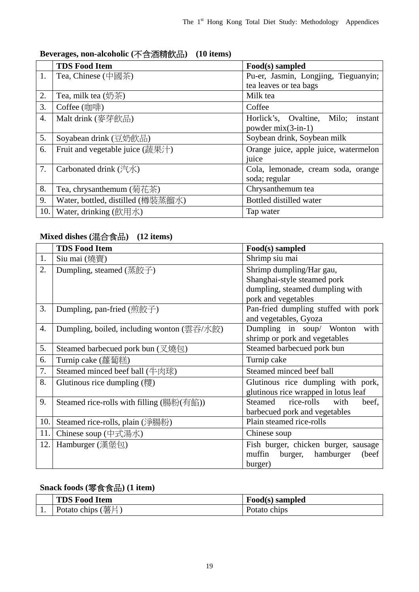### **Beverages, non-alcoholic (**不含酒精飲品**) (10 items)**

|     | <b>TDS Food Item</b>                                                                                           | Food(s) sampled                       |
|-----|----------------------------------------------------------------------------------------------------------------|---------------------------------------|
| 1.  | Tea, Chinese (中國茶)                                                                                             | Pu-er, Jasmin, Longjing, Tieguanyin;  |
|     |                                                                                                                | tea leaves or tea bags                |
| 2.  | Tea, milk tea $(\frac{\pi}{2})$                                                                                | Milk tea                              |
| 3.  | Coffee (咖啡)                                                                                                    | Coffee                                |
| 4.  | Malt drink (麥芽飲品)                                                                                              | Horlick's, Ovaltine, Milo;<br>instant |
|     |                                                                                                                | powder $mix(3-in-1)$                  |
| 5.  | Soyabean drink (豆奶飲品)                                                                                          | Soybean drink, Soybean milk           |
| 6.  | Fruit and vegetable juice (蔬果汁)                                                                                | Orange juice, apple juice, watermelon |
|     |                                                                                                                | juice                                 |
| 7.  | Carbonated drink (汽水)                                                                                          | Cola, lemonade, cream soda, orange    |
|     |                                                                                                                | soda; regular                         |
| 8.  | Tea, chrysanthemum (菊花茶)                                                                                       | Chrysanthemum tea                     |
| 9.  | Water, bottled, distilled (樽裝蒸餾水)                                                                              | Bottled distilled water               |
| 10. | Water, drinking $(\hat{\text{f}}\overline{\text{f}}\overline{\text{f}}\overline{\text{f}}\overline{\text{f}})$ | Tap water                             |

### **Mixed dishes (**混合食品**) (12 items)**

|                                        | <b>TDS Food Item</b>                                        | Food(s) sampled                          |  |
|----------------------------------------|-------------------------------------------------------------|------------------------------------------|--|
| 1.                                     | Siu mai (燒賣)                                                | Shrimp siu mai                           |  |
| 2.                                     | Dumpling, steamed (蒸餃子)                                     | Shrimp dumpling/Har gau,                 |  |
|                                        |                                                             | Shanghai-style steamed pork              |  |
|                                        |                                                             | dumpling, steamed dumpling with          |  |
|                                        |                                                             | pork and vegetables                      |  |
| 3.                                     | Dumpling, pan-fried (煎餃子)                                   | Pan-fried dumpling stuffed with pork     |  |
|                                        |                                                             | and vegetables, Gyoza                    |  |
| 4.                                     | Dumpling, boiled, including wonton (雲吞/水餃)                  | Dumpling in soup/ Wonton<br>with         |  |
|                                        |                                                             | shrimp or pork and vegetables            |  |
| 5.                                     | Steamed barbecued pork bun (叉燒包)                            | Steamed barbecued pork bun               |  |
| Turnip cake<br>6.<br>Turnip cake (蘿蔔糕) |                                                             |                                          |  |
| 7.<br>Steamed minced beef ball (牛肉球)   |                                                             | Steamed minced beef ball                 |  |
| 8.                                     | Glutinous rice dumpling (糭)                                 | Glutinous rice dumpling with pork,       |  |
|                                        |                                                             | glutinous rice wrapped in lotus leaf     |  |
| 9.                                     | Steamed rice-rolls with filling (腸粉(有餡))                    | Steamed rice-rolls<br>with<br>beef.      |  |
|                                        |                                                             | barbecued pork and vegetables            |  |
| 10.                                    | Plain steamed rice-rolls<br>Steamed rice-rolls, plain (淨腸粉) |                                          |  |
| 11.                                    | Chinese soup (中式湯水)                                         | Chinese soup                             |  |
| 12.                                    | Hamburger (漢堡包)                                             | Fish burger, chicken burger, sausage     |  |
|                                        |                                                             | burger,<br>hamburger<br>muffin<br>(beef) |  |
|                                        |                                                             | burger)                                  |  |

### **Snack foods (**零食食品**) (1 item)**

| <b>TDS Food Item</b>             | Food(s) sampled |
|----------------------------------|-----------------|
| Potato chips $(\frac{3\pi}{12})$ | Potato chips    |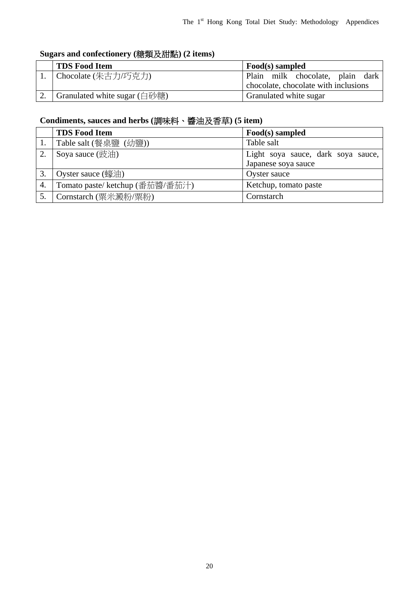### **Sugars and confectionery (**糖類及甜點**) (2 items)**

| <b>TDS Food Item</b>         | Food(s) sampled                      |
|------------------------------|--------------------------------------|
| 1. Chocolate (朱古力/巧克力)       | Plain milk chocolate, plain dark     |
|                              | chocolate, chocolate with inclusions |
| Granulated white sugar (白砂糖) | Granulated white sugar               |

### **Condiments, sauces and herbs (**調味料、醬油及香草**) (5 item)**

|    | <b>TDS Food Item</b>                        | Food(s) sampled                                           |
|----|---------------------------------------------|-----------------------------------------------------------|
|    | Table salt (餐桌鹽 (幼鹽))                       | Table salt                                                |
|    | Soya sauce (豉油)                             | Light soya sauce, dark soya sauce,<br>Japanese soya sauce |
| 3. | Oyster sauce $(\frac{1}{36}, \frac{1}{16})$ | Oyster sauce                                              |
| 4. | Tomato paste/ ketchup (番茄醬/番茄汁)             | Ketchup, tomato paste                                     |
|    | Cornstarch (粟米澱粉/粟粉)                        | Cornstarch                                                |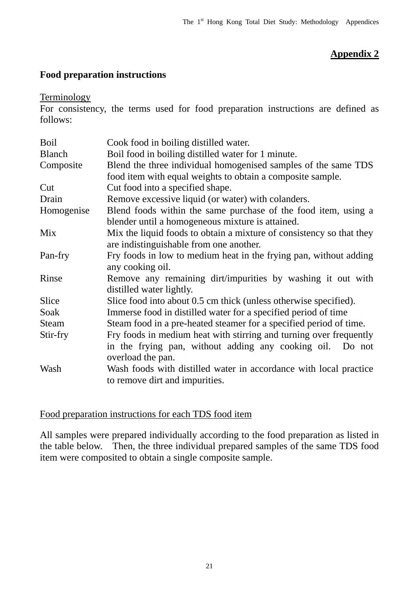### **Appendix 2**

#### **Food preparation instructions**

**Terminology** 

For consistency, the terms used for food preparation instructions are defined as follows:

| Blend the three individual homogenised samples of the same TDS       |
|----------------------------------------------------------------------|
|                                                                      |
|                                                                      |
|                                                                      |
|                                                                      |
|                                                                      |
| Blend foods within the same purchase of the food item, using a       |
|                                                                      |
| Mix the liquid foods to obtain a mixture of consistency so that they |
|                                                                      |
| Fry foods in low to medium heat in the frying pan, without adding    |
|                                                                      |
| Remove any remaining dirt/impurities by washing it out with          |
|                                                                      |
|                                                                      |
|                                                                      |
| Steam food in a pre-heated steamer for a specified period of time.   |
| Fry foods in medium heat with stirring and turning over frequently   |
| in the frying pan, without adding any cooking oil. Do not            |
|                                                                      |
| Wash foods with distilled water in accordance with local practice    |
|                                                                      |
|                                                                      |

#### Food preparation instructions for each TDS food item

All samples were prepared individually according to the food preparation as listed in the table below. Then, the three individual prepared samples of the same TDS food item were composited to obtain a single composite sample.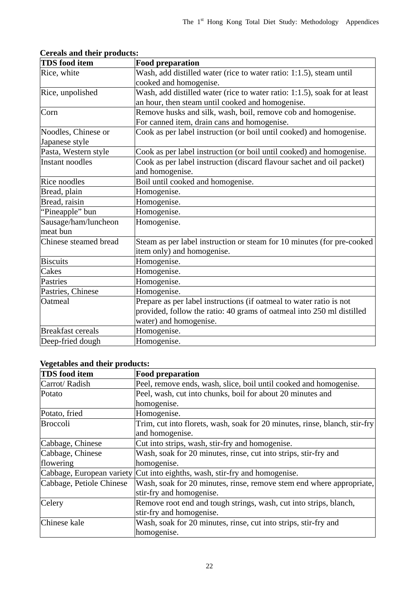| <b>TDS</b> food item     | <b>Food preparation</b>                                                   |
|--------------------------|---------------------------------------------------------------------------|
| Rice, white              | Wash, add distilled water (rice to water ratio: 1:1.5), steam until       |
|                          | cooked and homogenise.                                                    |
| Rice, unpolished         | Wash, add distilled water (rice to water ratio: 1:1.5), soak for at least |
|                          | an hour, then steam until cooked and homogenise.                          |
| Corn                     | Remove husks and silk, wash, boil, remove cob and homogenise.             |
|                          | For canned item, drain cans and homogenise.                               |
| Noodles, Chinese or      | Cook as per label instruction (or boil until cooked) and homogenise.      |
| Japanese style           |                                                                           |
| Pasta, Western style     | Cook as per label instruction (or boil until cooked) and homogenise.      |
| <b>Instant noodles</b>   | Cook as per label instruction (discard flavour sachet and oil packet)     |
|                          | and homogenise.                                                           |
| Rice noodles             | Boil until cooked and homogenise.                                         |
| Bread, plain             | Homogenise.                                                               |
| Bread, raisin            | Homogenise.                                                               |
| "Pineapple" bun          | Homogenise.                                                               |
| Sausage/ham/luncheon     | Homogenise.                                                               |
| meat bun                 |                                                                           |
| Chinese steamed bread    | Steam as per label instruction or steam for 10 minutes (for pre-cooked    |
|                          | item only) and homogenise.                                                |
| <b>Biscuits</b>          | Homogenise.                                                               |
| Cakes                    | Homogenise.                                                               |
| Pastries                 | Homogenise.                                                               |
| Pastries, Chinese        | Homogenise.                                                               |
| Oatmeal                  | Prepare as per label instructions (if oatmeal to water ratio is not       |
|                          | provided, follow the ratio: 40 grams of oatmeal into 250 ml distilled     |
|                          | water) and homogenise.                                                    |
| <b>Breakfast cereals</b> | Homogenise.                                                               |
| Deep-fried dough         | Homogenise.                                                               |

**Cereals and their products:** 

### **Vegetables and their products:**

| <b>TDS</b> food item     | <b>Food preparation</b>                                                    |
|--------------------------|----------------------------------------------------------------------------|
| Carrot/Radish            | Peel, remove ends, wash, slice, boil until cooked and homogenise.          |
| Potato                   | Peel, wash, cut into chunks, boil for about 20 minutes and                 |
|                          | homogenise.                                                                |
| Potato, fried            | Homogenise.                                                                |
| Broccoli                 | Trim, cut into florets, wash, soak for 20 minutes, rinse, blanch, stir-fry |
|                          | and homogenise.                                                            |
| Cabbage, Chinese         | Cut into strips, wash, stir-fry and homogenise.                            |
| Cabbage, Chinese         | Wash, soak for 20 minutes, rinse, cut into strips, stir-fry and            |
| flowering                | homogenise.                                                                |
|                          | Cabbage, European variety Cut into eighths, wash, stir-fry and homogenise. |
| Cabbage, Petiole Chinese | Wash, soak for 20 minutes, rinse, remove stem end where appropriate,       |
|                          | stir-fry and homogenise.                                                   |
| Celery                   | Remove root end and tough strings, wash, cut into strips, blanch,          |
|                          | stir-fry and homogenise.                                                   |
| Chinese kale             | Wash, soak for 20 minutes, rinse, cut into strips, stir-fry and            |
|                          | homogenise.                                                                |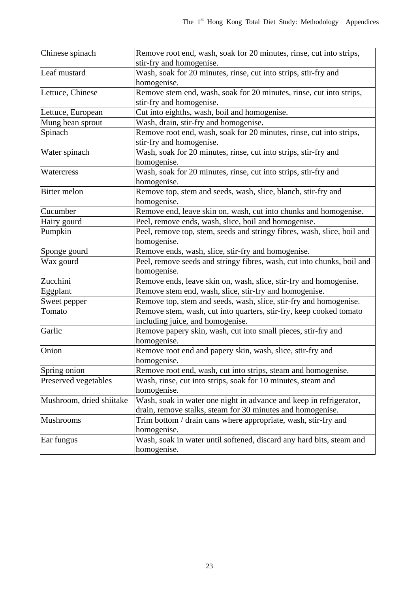| Chinese spinach          | Remove root end, wash, soak for 20 minutes, rinse, cut into strips,     |
|--------------------------|-------------------------------------------------------------------------|
|                          | stir-fry and homogenise.                                                |
| Leaf mustard             | Wash, soak for 20 minutes, rinse, cut into strips, stir-fry and         |
|                          | homogenise.                                                             |
| Lettuce, Chinese         | Remove stem end, wash, soak for 20 minutes, rinse, cut into strips,     |
|                          | stir-fry and homogenise.                                                |
| Lettuce, European        | Cut into eighths, wash, boil and homogenise.                            |
| Mung bean sprout         | Wash, drain, stir-fry and homogenise.                                   |
| Spinach                  | Remove root end, wash, soak for 20 minutes, rinse, cut into strips,     |
|                          | stir-fry and homogenise.                                                |
| Water spinach            | Wash, soak for 20 minutes, rinse, cut into strips, stir-fry and         |
|                          | homogenise.                                                             |
| Watercress               | Wash, soak for 20 minutes, rinse, cut into strips, stir-fry and         |
|                          | homogenise.                                                             |
| <b>Bitter</b> melon      | Remove top, stem and seeds, wash, slice, blanch, stir-fry and           |
|                          | homogenise.                                                             |
| Cucumber                 | Remove end, leave skin on, wash, cut into chunks and homogenise.        |
| Hairy gourd              | Peel, remove ends, wash, slice, boil and homogenise.                    |
| Pumpkin                  | Peel, remove top, stem, seeds and stringy fibres, wash, slice, boil and |
|                          | homogenise.                                                             |
| Sponge gourd             | Remove ends, wash, slice, stir-fry and homogenise.                      |
| Wax gourd                | Peel, remove seeds and stringy fibres, wash, cut into chunks, boil and  |
|                          | homogenise.                                                             |
| Zucchini                 | Remove ends, leave skin on, wash, slice, stir-fry and homogenise.       |
| Eggplant                 | Remove stem end, wash, slice, stir-fry and homogenise.                  |
| Sweet pepper             | Remove top, stem and seeds, wash, slice, stir-fry and homogenise.       |
| Tomato                   | Remove stem, wash, cut into quarters, stir-fry, keep cooked tomato      |
|                          | including juice, and homogenise.                                        |
| Garlic                   | Remove papery skin, wash, cut into small pieces, stir-fry and           |
|                          | homogenise.                                                             |
| Onion                    | Remove root end and papery skin, wash, slice, stir-fry and              |
|                          | homogenise.                                                             |
| Spring onion             | Remove root end, wash, cut into strips, steam and homogenise.           |
| Preserved vegetables     | Wash, rinse, cut into strips, soak for 10 minutes, steam and            |
|                          | homogenise.                                                             |
| Mushroom, dried shiitake | Wash, soak in water one night in advance and keep in refrigerator,      |
|                          | drain, remove stalks, steam for 30 minutes and homogenise.              |
| Mushrooms                | Trim bottom / drain cans where appropriate, wash, stir-fry and          |
|                          | homogenise.                                                             |
| Ear fungus               | Wash, soak in water until softened, discard any hard bits, steam and    |
|                          | homogenise.                                                             |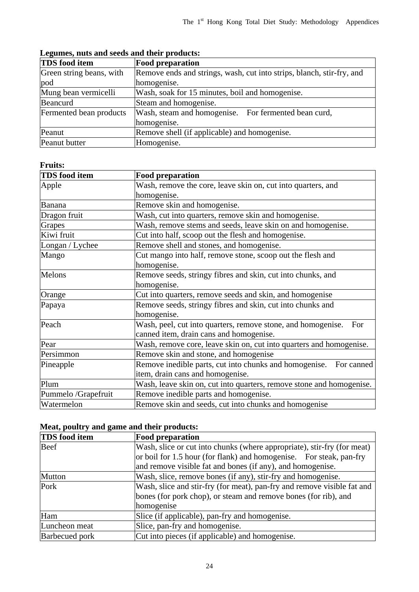| <b>TDS</b> food item     | <b>Food preparation</b>                                               |
|--------------------------|-----------------------------------------------------------------------|
| Green string beans, with | Remove ends and strings, wash, cut into strips, blanch, stir-fry, and |
| pod                      | homogenise.                                                           |
| Mung bean vermicelli     | Wash, soak for 15 minutes, boil and homogenise.                       |
| Beancurd                 | Steam and homogenise.                                                 |
| Fermented bean products  | Wash, steam and homogenise. For fermented bean curd,                  |
|                          | homogenise.                                                           |
| Peanut                   | Remove shell (if applicable) and homogenise.                          |
| Peanut butter            | Homogenise.                                                           |

**Legumes, nuts and seeds and their products:** 

#### **Fruits:**

| <b>TDS</b> food item | <b>Food preparation</b>                                              |
|----------------------|----------------------------------------------------------------------|
| Apple                | Wash, remove the core, leave skin on, cut into quarters, and         |
|                      | homogenise.                                                          |
| Banana               | Remove skin and homogenise.                                          |
| Dragon fruit         | Wash, cut into quarters, remove skin and homogenise.                 |
| Grapes               | Wash, remove stems and seeds, leave skin on and homogenise.          |
| Kiwi fruit           | Cut into half, scoop out the flesh and homogenise.                   |
| Longan / Lychee      | Remove shell and stones, and homogenise.                             |
| Mango                | Cut mango into half, remove stone, scoop out the flesh and           |
|                      | homogenise.                                                          |
| Melons               | Remove seeds, stringy fibres and skin, cut into chunks, and          |
|                      | homogenise.                                                          |
| Orange               | Cut into quarters, remove seeds and skin, and homogenise             |
| Papaya               | Remove seeds, stringy fibres and skin, cut into chunks and           |
|                      | homogenise.                                                          |
| Peach                | Wash, peel, cut into quarters, remove stone, and homogenise.<br>For  |
|                      | canned item, drain cans and homogenise.                              |
| Pear                 | Wash, remove core, leave skin on, cut into quarters and homogenise.  |
| Persimmon            | Remove skin and stone, and homogenise                                |
| Pineapple            | Remove inedible parts, cut into chunks and homogenise. For canned    |
|                      | item, drain cans and homogenise.                                     |
| Plum                 | Wash, leave skin on, cut into quarters, remove stone and homogenise. |
| Pummelo /Grapefruit  | Remove inedible parts and homogenise.                                |
| Watermelon           | Remove skin and seeds, cut into chunks and homogenise                |

#### **Meat, poultry and game and their products:**

| <b>TDS</b> food item  | <b>Food preparation</b>                                                 |
|-----------------------|-------------------------------------------------------------------------|
| Beef                  | Wash, slice or cut into chunks (where appropriate), stir-fry (for meat) |
|                       | or boil for 1.5 hour (for flank) and homogenise. For steak, pan-fry     |
|                       | and remove visible fat and bones (if any), and homogenise.              |
| <b>Mutton</b>         | Wash, slice, remove bones (if any), stir-fry and homogenise.            |
| Pork                  | Wash, slice and stir-fry (for meat), pan-fry and remove visible fat and |
|                       | bones (for pork chop), or steam and remove bones (for rib), and         |
|                       | homogenise                                                              |
| Ham                   | Slice (if applicable), pan-fry and homogenise.                          |
| Luncheon meat         | Slice, pan-fry and homogenise.                                          |
| <b>Barbecued</b> pork | Cut into pieces (if applicable) and homogenise.                         |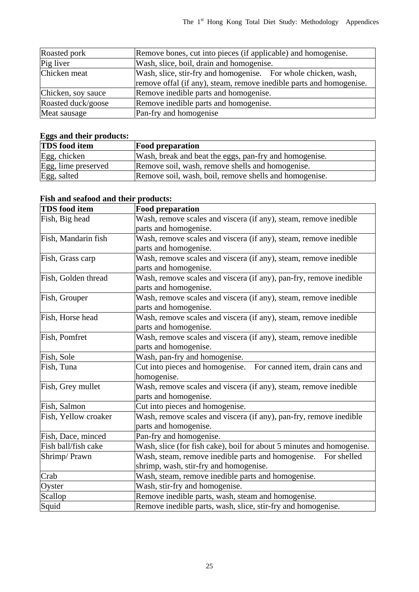| Roasted pork       | Remove bones, cut into pieces (if applicable) and homogenise.                                                                         |
|--------------------|---------------------------------------------------------------------------------------------------------------------------------------|
| Pig liver          | Wash, slice, boil, drain and homogenise.                                                                                              |
| Chicken meat       | Wash, slice, stir-fry and homogenise. For whole chicken, wash,<br>remove offal (if any), steam, remove inedible parts and homogenise. |
| Chicken, soy sauce | Remove inedible parts and homogenise.                                                                                                 |
| Roasted duck/goose | Remove inedible parts and homogenise.                                                                                                 |
| Meat sausage       | Pan-fry and homogenise                                                                                                                |

### **Eggs and their products:**

| <b>TDS</b> food item | <b>Food preparation</b>                                |
|----------------------|--------------------------------------------------------|
| Egg, chicken         | Wash, break and beat the eggs, pan-fry and homogenise. |
| Egg, lime preserved  | Remove soil, wash, remove shells and homogenise.       |
| Egg, salted          | Remove soil, wash, boil, remove shells and homogenise. |

### **Fish and seafood and their products:**

| <b>TDS</b> food item | <b>Food preparation</b>                                               |
|----------------------|-----------------------------------------------------------------------|
| Fish, Big head       | Wash, remove scales and viscera (if any), steam, remove inedible      |
|                      | parts and homogenise.                                                 |
| Fish, Mandarin fish  | Wash, remove scales and viscera (if any), steam, remove inedible      |
|                      | parts and homogenise.                                                 |
| Fish, Grass carp     | Wash, remove scales and viscera (if any), steam, remove inedible      |
|                      | parts and homogenise.                                                 |
| Fish, Golden thread  | Wash, remove scales and viscera (if any), pan-fry, remove inedible    |
|                      | parts and homogenise.                                                 |
| Fish, Grouper        | Wash, remove scales and viscera (if any), steam, remove inedible      |
|                      | parts and homogenise.                                                 |
| Fish, Horse head     | Wash, remove scales and viscera (if any), steam, remove inedible      |
|                      | parts and homogenise.                                                 |
| Fish, Pomfret        | Wash, remove scales and viscera (if any), steam, remove inedible      |
|                      | parts and homogenise.                                                 |
| Fish, Sole           | Wash, pan-fry and homogenise.                                         |
| Fish, Tuna           | Cut into pieces and homogenise. For canned item, drain cans and       |
|                      | homogenise.                                                           |
| Fish, Grey mullet    | Wash, remove scales and viscera (if any), steam, remove inedible      |
|                      | parts and homogenise.                                                 |
| Fish, Salmon         | Cut into pieces and homogenise.                                       |
| Fish, Yellow croaker | Wash, remove scales and viscera (if any), pan-fry, remove inedible    |
|                      | parts and homogenise.                                                 |
| Fish, Dace, minced   | Pan-fry and homogenise.                                               |
| Fish ball/fish cake  | Wash, slice (for fish cake), boil for about 5 minutes and homogenise. |
| Shrimp/Prawn         | Wash, steam, remove inedible parts and homogenise. For shelled        |
|                      | shrimp, wash, stir-fry and homogenise.                                |
| Crab                 | Wash, steam, remove inedible parts and homogenise.                    |
| Oyster               | Wash, stir-fry and homogenise.                                        |
| Scallop              | Remove inedible parts, wash, steam and homogenise.                    |
| Squid                | Remove inedible parts, wash, slice, stir-fry and homogenise.          |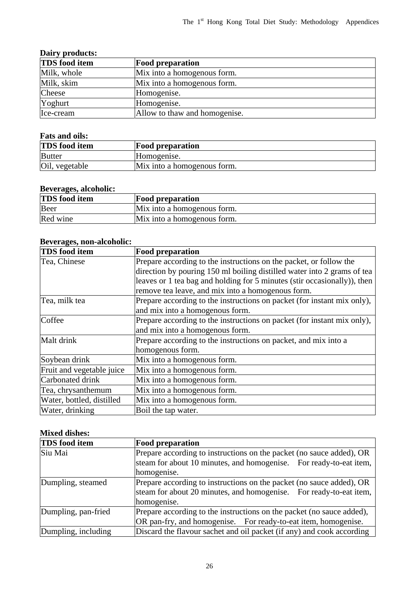| Dairy products:      |                               |
|----------------------|-------------------------------|
| <b>TDS</b> food item | <b>Food preparation</b>       |
| Milk, whole          | Mix into a homogenous form.   |
| Milk, skim           | Mix into a homogenous form.   |
| Cheese               | Homogenise.                   |
| Yoghurt              | Homogenise.                   |
| Ice-cream            | Allow to thaw and homogenise. |

#### **Fats and oils:**

| $\sim$ 0.00 0.110 0.110 $\sim$ |                             |
|--------------------------------|-----------------------------|
| <b>TDS</b> food item           | <b>Food preparation</b>     |
| <b>Butter</b>                  | Homogenise.                 |
| Oil, vegetable                 | Mix into a homogenous form. |

#### **Beverages, alcoholic:**

| <b>TDS</b> food item | <b>Food preparation</b>     |
|----------------------|-----------------------------|
| Beer                 | Mix into a homogenous form. |
| Red wine             | Mix into a homogenous form. |

#### **Beverages, non-alcoholic:**

| <b>TDS</b> food item      | <b>Food preparation</b>                                                  |
|---------------------------|--------------------------------------------------------------------------|
| Tea, Chinese              | Prepare according to the instructions on the packet, or follow the       |
|                           | direction by pouring 150 ml boiling distilled water into 2 grams of tea  |
|                           | leaves or 1 tea bag and holding for 5 minutes (stir occasionally)), then |
|                           | remove tea leave, and mix into a homogenous form.                        |
| Tea, milk tea             | Prepare according to the instructions on packet (for instant mix only),  |
|                           | and mix into a homogenous form.                                          |
| Coffee                    | Prepare according to the instructions on packet (for instant mix only),  |
|                           | and mix into a homogenous form.                                          |
| Malt drink                | Prepare according to the instructions on packet, and mix into a          |
|                           | homogenous form.                                                         |
| Soybean drink             | Mix into a homogenous form.                                              |
| Fruit and vegetable juice | Mix into a homogenous form.                                              |
| Carbonated drink          | Mix into a homogenous form.                                              |
| Tea, chrysanthemum        | Mix into a homogenous form.                                              |
| Water, bottled, distilled | Mix into a homogenous form.                                              |
| Water, drinking           | Boil the tap water.                                                      |

#### **Mixed dishes:**

| <b>TDS</b> food item | <b>Food preparation</b>                                               |
|----------------------|-----------------------------------------------------------------------|
| Siu Mai              | Prepare according to instructions on the packet (no sauce added), OR  |
|                      | steam for about 10 minutes, and homogenise. For ready-to-eat item,    |
|                      | homogenise.                                                           |
| Dumpling, steamed    | Prepare according to instructions on the packet (no sauce added), OR  |
|                      | steam for about 20 minutes, and homogenise. For ready-to-eat item,    |
|                      | homogenise.                                                           |
| Dumpling, pan-fried  | Prepare according to the instructions on the packet (no sauce added), |
|                      | OR pan-fry, and homogenise. For ready-to-eat item, homogenise.        |
| Dumpling, including  | Discard the flavour sachet and oil packet (if any) and cook according |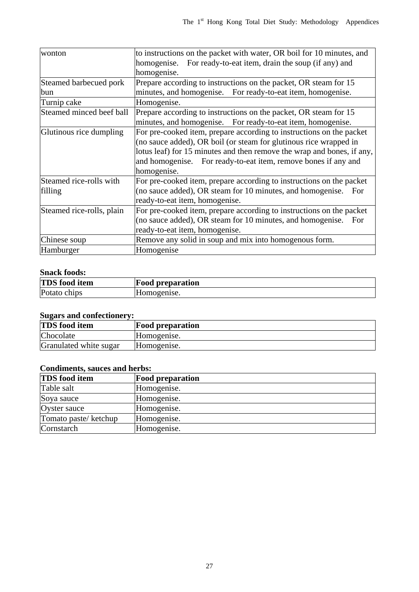| wonton                    | to instructions on the packet with water, OR boil for 10 minutes, and  |
|---------------------------|------------------------------------------------------------------------|
|                           | For ready-to-eat item, drain the soup (if any) and<br>homogenise.      |
|                           | homogenise.                                                            |
| Steamed barbecued pork    | Prepare according to instructions on the packet, OR steam for 15       |
| bun                       | minutes, and homogenise. For ready-to-eat item, homogenise.            |
| Turnip cake               | Homogenise.                                                            |
| Steamed minced beef ball  | Prepare according to instructions on the packet, OR steam for 15       |
|                           | minutes, and homogenise. For ready-to-eat item, homogenise.            |
| Glutinous rice dumpling   | For pre-cooked item, prepare according to instructions on the packet   |
|                           | (no sauce added), OR boil (or steam for glutinous rice wrapped in      |
|                           | lotus leaf) for 15 minutes and then remove the wrap and bones, if any, |
|                           | and homogenise. For ready-to-eat item, remove bones if any and         |
|                           | homogenise.                                                            |
| Steamed rice-rolls with   | For pre-cooked item, prepare according to instructions on the packet   |
| filling                   | (no sauce added), OR steam for 10 minutes, and homogenise.<br>For      |
|                           | ready-to-eat item, homogenise.                                         |
| Steamed rice-rolls, plain | For pre-cooked item, prepare according to instructions on the packet   |
|                           | (no sauce added), OR steam for 10 minutes, and homogenise.<br>For      |
|                           | ready-to-eat item, homogenise.                                         |
| Chinese soup              | Remove any solid in soup and mix into homogenous form.                 |
| Hamburger                 | Homogenise                                                             |

#### **Snack foods:**

| <b>TDS</b> food item         | preparation<br>Hood |
|------------------------------|---------------------|
| Potato<br>ch <sub>1</sub> ps | $\Omega$ pense.     |

#### **Sugars and confectionery:**

| <b>Food preparation</b> |  |
|-------------------------|--|
| Homogenise.             |  |
| Homogenise.             |  |
|                         |  |

#### **Condiments, sauces and herbs:**

| <b>TDS</b> food item | <b>Food preparation</b> |
|----------------------|-------------------------|
| Table salt           | Homogenise.             |
| Soya sauce           | Homogenise.             |
| Oyster sauce         | Homogenise.             |
| Tomato paste/ketchup | Homogenise.             |
| Cornstarch           | Homogenise.             |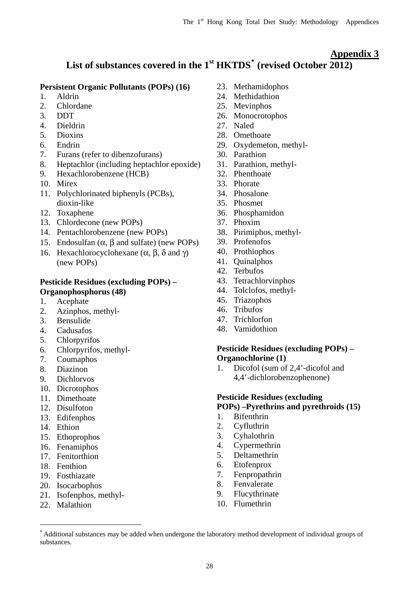#### **Appendix 3**

### **List of substances covered in the 1st HKTDS[\\*](#page-30-0) (revised October 2012)**

#### **Persistent Organic Pollutants (POPs) (16)**

- 1. Aldrin
- 2. Chlordane
- 3. DDT
- 4. Dieldrin
- 5. Dioxins
- 6. Endrin
- 7. Furans (refer to dibenzofurans)
- 8. Heptachlor (including heptachlor epoxide)
- 9. Hexachlorobenzene (HCB)
- 10. Mirex
- 11. Polychlorinated biphenyls (PCBs), dioxin-like
- 12. Toxaphene
- 13. Chlordecone (new POPs)
- 14. Pentachlorobenzene (new POPs)
- 15. Endosulfan  $(\alpha, \beta, \text{ and } \text{suffix})$  (new POPs)
- 16. Hexachlorocyclohexane ( $\alpha$ ,  $\beta$ ,  $\delta$  and  $\gamma$ ) (new POPs)

#### **Pesticide Residues (excluding POPs) – Organophosphorus (48)**

- 1. Acephate
- 2. Azinphos, methyl-
- 3. Bensulide
- 4. Cadusafos
- 5. Chlorpyrifos
- 6. Chlorpyrifos, methyl-
- 7. Coumaphos
- 8. Diazinon
- 9. Dichlorvos
- 10. Dicrotophos
- 11. Dimethoate
- 12. Disulfoton
- 13. Edifenphos
- 14. Ethion
- 15. Ethoprophos
- 16. Fenamiphos
- 17. Fenitorthion
- 18. Fenthion
- 19. Fosthiazate
- 20. Isocarbophos
- 21. Isofenphos, methyl-
- 22. Malathion

 $\overline{a}$ 

- 23. Methamidophos
- 24. Methidathion
- 25. Mevinphos
- 26. Monocrotophos
- 27. Naled
- 28. Omethoate
- 29. Oxydemeton, methyl-
- 30. Parathion
- 31. Parathion, methyl-
- 32. Phenthoate
- 33. Phorate
- 34. Phosalone
- 35. Phosmet
- 36. Phosphamidon
- 37. Phoxim
- 38. Pirimiphos, methyl-
- 39. Profenofos
- 40. Prothiophos
- 41. Quinalphos
- 42. Terbufos
- 43. Tetrachlorvinphos
- 44. Tolclofos, methyl-
- 45. Triazophos
- 46. Tribufos
- 47. Trichlorfon
- 48. Vamidothion

#### **Pesticide Residues (excluding POPs) – Organochlorine (1)**

1. Dicofol (sum of 2,4'-dicofol and 4,4'-dichlorobenzophenone)

#### **Pesticide Residues (excluding**

#### **POPs) –Pyrethrins and pyrethroids (15)**

- 1. Bifenthrin
- 2. Cyfluthrin
- 3. Cyhalothrin
- 4. Cypermethrin
- 5. Deltamethrin
- 6. Etofenprox
- 7. Fenpropathrin
- 8. Fenvalerate
- 9. Flucythrinate
- 10. Flumethrin

<span id="page-30-0"></span><sup>\*</sup> Additional substances may be added when undergone the laboratory method development of individual groups of substances.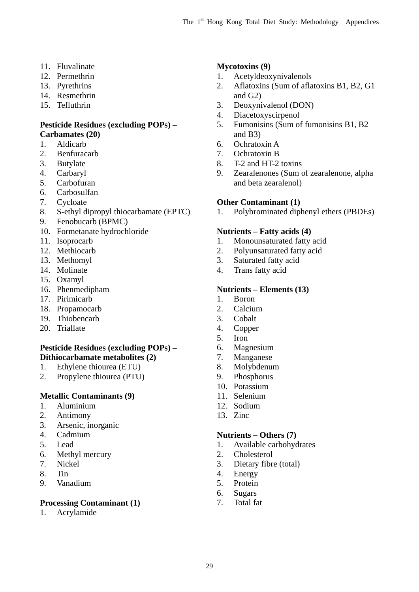- 11. Fluvalinate **Mycotoxins (9)**
- 12. Permethrin
- 13. Pyrethrins
- 14. Resmethrin
- 15. Tefluthrin

#### **Pesticide Residues (excluding POPs) – Carbamates (20)**

- 1. Aldicarb
- 2. Benfuracarb
- 3. Butylate
- 4. Carbaryl
- 5. Carbofuran
- 6. Carbosulfan
- 7. Cycloate
- 8. S-ethyl dipropyl thiocarbamate (EPTC)
- 9. Fenobucarb (BPMC)
- 10. Formetanate hydrochloride
- 11. Isoprocarb
- 12. Methiocarb
- 13. Methomyl
- 14. Molinate
- 15. Oxamyl
- 16. Phenmedipham
- 17. Pirimicarb
- 18. Propamocarb
- 19. Thiobencarb
- 20. Triallate

#### **Pesticide Residues (excluding POPs) – Dithiocarbamate metabolites (2)**

- 1. Ethylene thiourea (ETU)
- 2. Propylene thiourea (PTU)

#### **Metallic Contaminants (9)**

- 1. Aluminium
- 2. Antimony
- 3. Arsenic, inorganic
- 4. Cadmium
- 5. Lead
- 6. Methyl mercury
- 7. Nickel
- 8. Tin
- 9. Vanadium

#### **Processing Contaminant (1)**

1. Acrylamide

- 1. Acetyldeoxynivalenols
- 2. Aflatoxins (Sum of aflatoxins B1, B2, G1 and G2)
- 3. Deoxynivalenol (DON)
- 4. Diacetoxyscirpenol
- 5. Fumonisins (Sum of fumonisins B1, B2 and B3)
- 6. Ochratoxin A
- 7. Ochratoxin B
- 8. T-2 and HT-2 toxins
- 9. Zearalenones (Sum of zearalenone, alpha and beta zearalenol)

#### **Other Contaminant (1)**

1. Polybrominated diphenyl ethers (PBDEs)

#### **Nutrients – Fatty acids (4)**

- 1. Monounsaturated fatty acid
- 2. Polyunsaturated fatty acid
- 3. Saturated fatty acid
- 4. Trans fatty acid

#### **Nutrients – Elements (13)**

- 1. Boron
- 2. Calcium
- 3. Cobalt
- 4. Copper
- 5. Iron
- 6. Magnesium
- 7. Manganese
- 8. Molybdenum
- 9. Phosphorus
- 10. Potassium
- 11. Selenium
- 12. Sodium
- 13. Zinc

#### **Nutrients – Others (7)**

- 1. Available carbohydrates
- 2. Cholesterol
- 3. Dietary fibre (total)
- 4. Energy
- 5. Protein
- 6. Sugars
- 7. Total fat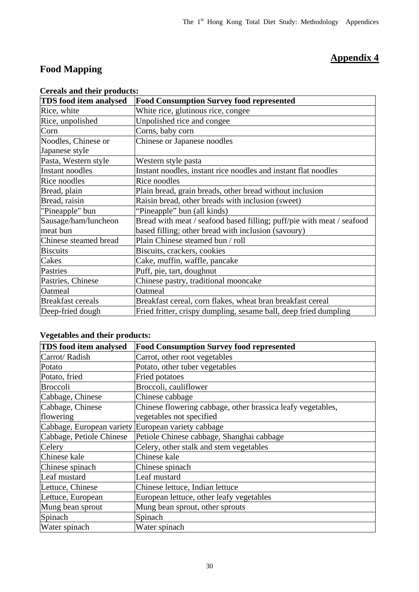### **Appendix 4**

### **Food Mapping**

| <b>TDS</b> food item analysed | <b>Food Consumption Survey food represented</b>                       |
|-------------------------------|-----------------------------------------------------------------------|
| Rice, white                   | White rice, glutinous rice, congee                                    |
| Rice, unpolished              | Unpolished rice and congee                                            |
| Corn                          | Corns, baby corn                                                      |
| Noodles, Chinese or           | Chinese or Japanese noodles                                           |
| Japanese style                |                                                                       |
| Pasta, Western style          | Western style pasta                                                   |
| Instant noodles               | Instant noodles, instant rice noodles and instant flat noodles        |
| Rice noodles                  | Rice noodles                                                          |
| Bread, plain                  | Plain bread, grain breads, other bread without inclusion              |
| Bread, raisin                 | Raisin bread, other breads with inclusion (sweet)                     |
| "Pineapple" bun               | "Pineapple" bun (all kinds)                                           |
| Sausage/ham/luncheon          | Bread with meat / seafood based filling; puff/pie with meat / seafood |
| meat bun                      | based filling; other bread with inclusion (savoury)                   |
| Chinese steamed bread         | Plain Chinese steamed bun / roll                                      |
| <b>Biscuits</b>               | Biscuits, crackers, cookies                                           |
| Cakes                         | Cake, muffin, waffle, pancake                                         |
| Pastries                      | Puff, pie, tart, doughnut                                             |
| Pastries, Chinese             | Chinese pastry, traditional mooncake                                  |
| Oatmeal                       | Oatmeal                                                               |
| <b>Breakfast cereals</b>      | Breakfast cereal, corn flakes, wheat bran breakfast cereal            |
| Deep-fried dough              | Fried fritter, crispy dumpling, sesame ball, deep fried dumpling      |

#### **Cereals and their products:**

#### **Vegetables and their products:**

| <b>TDS</b> food item analysed                      | <b>Food Consumption Survey food represented</b>             |
|----------------------------------------------------|-------------------------------------------------------------|
| Carrot/Radish                                      | Carrot, other root vegetables                               |
| Potato                                             | Potato, other tuber vegetables                              |
| Potato, fried                                      | Fried potatoes                                              |
| <b>Broccoli</b>                                    | Broccoli, cauliflower                                       |
| Cabbage, Chinese                                   | Chinese cabbage                                             |
| Cabbage, Chinese                                   | Chinese flowering cabbage, other brassica leafy vegetables, |
| flowering                                          | vegetables not specified                                    |
| Cabbage, European variety European variety cabbage |                                                             |
| Cabbage, Petiole Chinese                           | Petiole Chinese cabbage, Shanghai cabbage                   |
| Celery                                             | Celery, other stalk and stem vegetables                     |
| Chinese kale                                       | Chinese kale                                                |
| Chinese spinach                                    | Chinese spinach                                             |
| Leaf mustard                                       | Leaf mustard                                                |
| Lettuce, Chinese                                   | Chinese lettuce, Indian lettuce                             |
| Lettuce, European                                  | European lettuce, other leafy vegetables                    |
| Mung bean sprout                                   | Mung bean sprout, other sprouts                             |
| Spinach                                            | Spinach                                                     |
| Water spinach                                      | Water spinach                                               |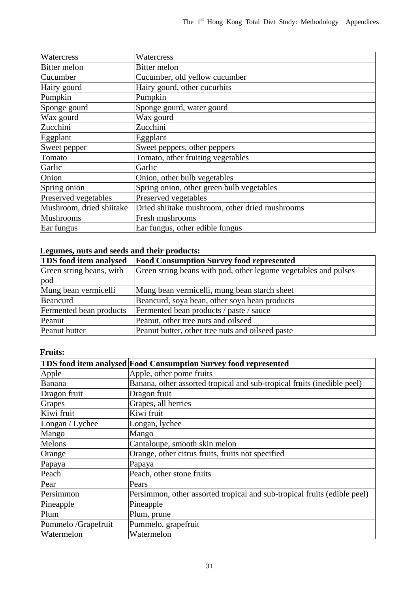| Watercress               | Watercress                                     |
|--------------------------|------------------------------------------------|
| <b>Bitter</b> melon      | Bitter melon                                   |
| Cucumber                 | Cucumber, old yellow cucumber                  |
| Hairy gourd              | Hairy gourd, other cucurbits                   |
| Pumpkin                  | Pumpkin                                        |
| Sponge gourd             | Sponge gourd, water gourd                      |
| Wax gourd                | Wax gourd                                      |
| Zucchini                 | Zucchini                                       |
| Eggplant                 | Eggplant                                       |
| Sweet pepper             | Sweet peppers, other peppers                   |
| Tomato                   | Tomato, other fruiting vegetables              |
| Garlic                   | Garlic                                         |
| Onion                    | Onion, other bulb vegetables                   |
| Spring onion             | Spring onion, other green bulb vegetables      |
| Preserved vegetables     | Preserved vegetables                           |
| Mushroom, dried shiitake | Dried shiitake mushroom, other dried mushrooms |
| <b>Mushrooms</b>         | Fresh mushrooms                                |
| Ear fungus               | Ear fungus, other edible fungus                |

#### **Legumes, nuts and seeds and their products:**

| <b>TDS</b> food item analysed | <b>Food Consumption Survey food represented</b>                 |
|-------------------------------|-----------------------------------------------------------------|
| Green string beans, with      | Green string beans with pod, other legume vegetables and pulses |
| pod                           |                                                                 |
| Mung bean vermicelli          | Mung bean vermicelli, mung bean starch sheet                    |
| Beancurd                      | Beancurd, soya bean, other soya bean products                   |
| Fermented bean products       | Fermented bean products / paste / sauce                         |
| Peanut                        | Peanut, other tree nuts and oilseed                             |
| Peanut butter                 | Peanut butter, other tree nuts and oilseed paste                |

### **Fruits:**

|                     | TDS food item analysed Food Consumption Survey food represented          |
|---------------------|--------------------------------------------------------------------------|
| Apple               | Apple, other pome fruits                                                 |
| Banana              | Banana, other assorted tropical and sub-tropical fruits (inedible peel)  |
| Dragon fruit        | Dragon fruit                                                             |
| Grapes              | Grapes, all berries                                                      |
| Kiwi fruit          | Kiwi fruit                                                               |
| Longan / Lychee     | Longan, lychee                                                           |
| Mango               | Mango                                                                    |
| Melons              | Cantaloupe, smooth skin melon                                            |
| Orange              | Orange, other citrus fruits, fruits not specified                        |
| Papaya              | Papaya                                                                   |
| Peach               | Peach, other stone fruits                                                |
| Pear                | Pears                                                                    |
| Persimmon           | Persimmon, other assorted tropical and sub-tropical fruits (edible peel) |
| Pineapple           | Pineapple                                                                |
| Plum                | Plum, prune                                                              |
| Pummelo /Grapefruit | Pummelo, grapefruit                                                      |
| Watermelon          | Watermelon                                                               |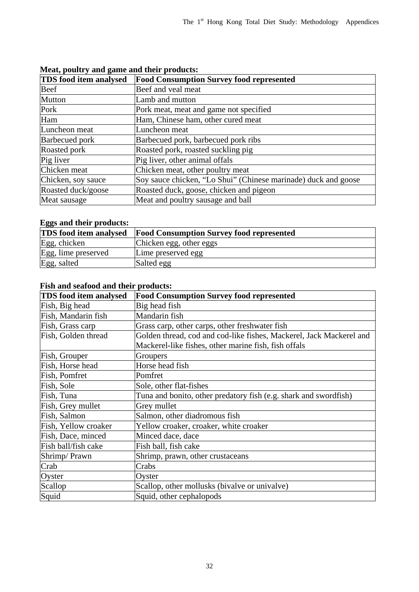| <b>TDS</b> food item analysed | <b>Food Consumption Survey food represented</b>                |
|-------------------------------|----------------------------------------------------------------|
| Beef                          | Beef and veal meat                                             |
| Mutton                        | Lamb and mutton                                                |
| Pork                          | Pork meat, meat and game not specified                         |
| Ham                           | Ham, Chinese ham, other cured meat                             |
| Luncheon meat                 | Luncheon meat                                                  |
| <b>Barbecued</b> pork         | Barbecued pork, barbecued pork ribs                            |
| Roasted pork                  | Roasted pork, roasted suckling pig                             |
| Pig liver                     | Pig liver, other animal offals                                 |
| Chicken meat                  | Chicken meat, other poultry meat                               |
| Chicken, soy sauce            | Soy sauce chicken, "Lo Shui" (Chinese marinade) duck and goose |
| Roasted duck/goose            | Roasted duck, goose, chicken and pigeon                        |
| Meat sausage                  | Meat and poultry sausage and ball                              |

#### **Meat, poultry and game and their products:**

### **Eggs and their products:**

| <b>TDS</b> food item analysed | <b>Food Consumption Survey food represented</b> |
|-------------------------------|-------------------------------------------------|
| Egg, chicken                  | Chicken egg, other eggs                         |
| Egg, lime preserved           | Lime preserved egg                              |
| Egg, salted                   | Salted egg                                      |

#### **Fish and seafood and their products:**

| <b>TDS</b> food item analysed | <b>Food Consumption Survey food represented</b>                     |
|-------------------------------|---------------------------------------------------------------------|
| Fish, Big head                | Big head fish                                                       |
| Fish, Mandarin fish           | Mandarin fish                                                       |
| Fish, Grass carp              | Grass carp, other carps, other freshwater fish                      |
| Fish, Golden thread           | Golden thread, cod and cod-like fishes, Mackerel, Jack Mackerel and |
|                               | Mackerel-like fishes, other marine fish, fish offals                |
| Fish, Grouper                 | Groupers                                                            |
| Fish, Horse head              | Horse head fish                                                     |
| Fish, Pomfret                 | Pomfret                                                             |
| Fish, Sole                    | Sole, other flat-fishes                                             |
| Fish, Tuna                    | Tuna and bonito, other predatory fish (e.g. shark and swordfish)    |
| Fish, Grey mullet             | Grey mullet                                                         |
| Fish, Salmon                  | Salmon, other diadromous fish                                       |
| Fish, Yellow croaker          | Yellow croaker, croaker, white croaker                              |
| Fish, Dace, minced            | Minced dace, dace                                                   |
| Fish ball/fish cake           | Fish ball, fish cake                                                |
| Shrimp/Prawn                  | Shrimp, prawn, other crustaceans                                    |
| Crab                          | Crabs                                                               |
| Oyster                        | Oyster                                                              |
| Scallop                       | Scallop, other mollusks (bivalve or univalve)                       |
| Squid                         | Squid, other cephalopods                                            |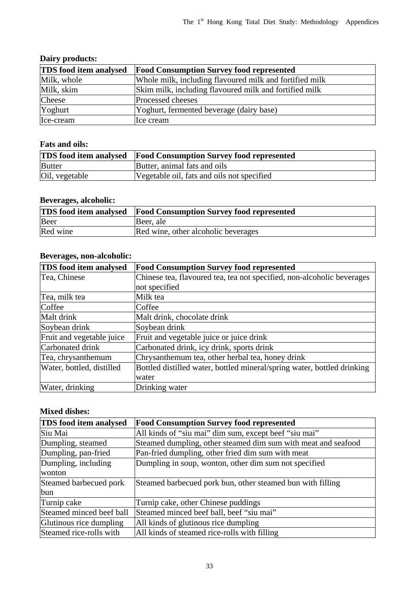#### **Dairy products:**

| <b>TDS</b> food item analysed | <b>Food Consumption Survey food represented</b>         |
|-------------------------------|---------------------------------------------------------|
| Milk, whole                   | Whole milk, including flavoured milk and fortified milk |
| Milk, skim                    | Skim milk, including flavoured milk and fortified milk  |
| Cheese                        | Processed cheeses                                       |
| Yoghurt                       | Yoghurt, fermented beverage (dairy base)                |
| Ice-cream                     | Ice cream                                               |

#### **Fats and oils:**

|                | <b>TDS</b> food item analysed Food Consumption Survey food represented |
|----------------|------------------------------------------------------------------------|
| <b>Butter</b>  | Butter, animal fats and oils                                           |
| Oil, vegetable | Vegetable oil, fats and oils not specified                             |

#### **Beverages, alcoholic:**

|          | <b>TDS</b> food item analysed <b>Food Consumption Survey food represented</b> |
|----------|-------------------------------------------------------------------------------|
| Beer     | Beer, ale                                                                     |
| Red wine | Red wine, other alcoholic beverages                                           |

#### **Beverages, non-alcoholic:**

| <b>TDS</b> food item analysed | <b>Food Consumption Survey food represented</b>                         |
|-------------------------------|-------------------------------------------------------------------------|
| Tea, Chinese                  | Chinese tea, flavoured tea, tea not specified, non-alcoholic beverages  |
|                               | not specified                                                           |
| Tea, milk tea                 | Milk tea                                                                |
| Coffee                        | Coffee                                                                  |
| Malt drink                    | Malt drink, chocolate drink                                             |
| Soybean drink                 | Soybean drink                                                           |
| Fruit and vegetable juice     | Fruit and vegetable juice or juice drink                                |
| Carbonated drink              | Carbonated drink, icy drink, sports drink                               |
| Tea, chrysanthemum            | Chrysanthemum tea, other herbal tea, honey drink                        |
| Water, bottled, distilled     | Bottled distilled water, bottled mineral/spring water, bottled drinking |
|                               | water                                                                   |
| Water, drinking               | Drinking water                                                          |

#### **Mixed dishes:**

| <b>TDS</b> food item analysed | <b>Food Consumption Survey food represented</b>               |
|-------------------------------|---------------------------------------------------------------|
| Siu Mai                       | All kinds of "siu mai" dim sum, except beef "siu mai"         |
| Dumpling, steamed             | Steamed dumpling, other steamed dim sum with meat and seafood |
| Dumpling, pan-fried           | Pan-fried dumpling, other fried dim sum with meat             |
| Dumpling, including           | Dumpling in soup, wonton, other dim sum not specified         |
| wonton                        |                                                               |
| Steamed barbecued pork        | Steamed barbecued pork bun, other steamed bun with filling    |
| bun                           |                                                               |
| Turnip cake                   | Turnip cake, other Chinese puddings                           |
| Steamed minced beef ball      | Steamed minced beef ball, beef "siu mai"                      |
| Glutinous rice dumpling       | All kinds of glutinous rice dumpling                          |
| Steamed rice-rolls with       | All kinds of steamed rice-rolls with filling                  |